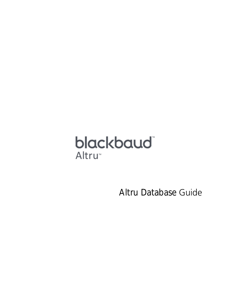# blackbaud Altru<sup>™</sup>

Altru Database Guide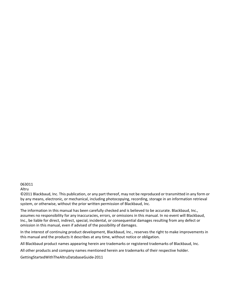#### 063011

#### Altru

©2011 Blackbaud, Inc. This publication, or any part thereof, may not be reproduced or transmitted in any form or by any means, electronic, or mechanical, including photocopying, recording, storage in an information retrieval system, or otherwise, without the prior written permission of Blackbaud, Inc.

The information in this manual has been carefully checked and is believed to be accurate. Blackbaud, Inc., assumes no responsibility for any inaccuracies, errors, or omissions in this manual. In no event will Blackbaud, Inc., be liable for direct, indirect, special, incidental, or consequential damages resulting from any defect or omission in this manual, even if advised of the possibility of damages.

In the interest of continuing product development, Blackbaud, Inc., reserves the right to make improvements in this manual and the products it describes at any time, without notice or obligation.

All Blackbaud product names appearing herein are trademarks or registered trademarks of Blackbaud, Inc.

All other products and company names mentioned herein are trademarks of their respective holder.

GettingStartedWithTheAltruDatabaseGuide‐2011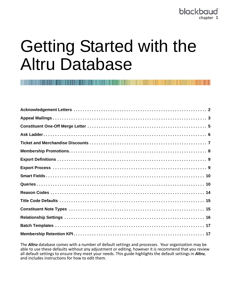# Getting Started with the Altru Database

The *Altru* database comes with a number of default settings and processes. Your organization may be able to use these defaults without any adjustment or editing, however it is recommend that you review all default settings to ensure they meet your needs. This guide highlights the default settings in *Altru*, and includes instructions for how to edit them.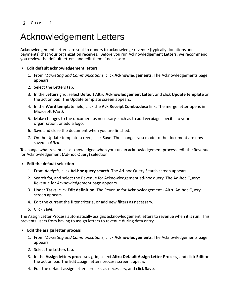# <span id="page-3-0"></span>Acknowledgement Letters

Acknowledgement Letters are sent to donors to acknowledge revenue (typically donations and payments) that your organization receives. Before you run Acknowledgement Letters, we recommend you review the default letters, and edit them if necessary.

#### **Edit default acknowledgement letters**

- 1. From *Marketing and Communications*, click **Acknowledgements**. The Acknowledgements page appears.
- 2. Select the Letters tab.
- 3. In the **Letters** grid, select **Default Altru Acknowledgement Letter**, and click **Update template** on the action bar. The Update template screen appears.
- 4. In the **Word template** field, click the **Ack Receipt Combo.docx** link. The merge letter opens in Microsoft *Word*.
- 5. Make changes to the document as necessary, such as to add verbiage specific to your organization, or add a logo.
- 6. Save and close the document when you are finished.
- 7. On the Update template screen, click **Save**. The changes you made to the document are now saved in *Altru*.

To change what revenue is acknowledged when you run an acknowledgement process, edit the Revenue for Acknowledgement (Ad‐hoc Query) selection.

#### **Edit the default selection**

- 1. From *Analysis*, click **Ad‐hoc query search**. The Ad‐hoc Query Search screen appears.
- 2. Search for, and select the Revenue for Acknowledgement ad‐hoc query. The Ad‐hoc Query: Revenue for Acknowledgement page appears.
- 3. Under **Tasks**, click **Edit definition**. The Revenue for Acknowledgement ‐ Altru Ad‐hoc Query screen appears.
- 4. Edit the current the filter criteria, or add new filters as necessary.
- 5. Click **Save**.

The Assign Letter Process automatically assigns acknowledgement lettersto revenue when it isrun. This prevents users from having to assign letters to revenue during data entry.

#### **Edit the assign letter process**

- 1. From *Marketing and Communications*, click **Acknowledgements**. The Acknowledgements page appears.
- 2. Select the Letters tab.
- 3. In the **Assign letters processes** grid, select **Altru Default Assign Letter Process**, and click **Edit** on the action bar. The Edit assign letters process screen appears
- 4. Edit the default assign letters process as necessary, and click **Save**.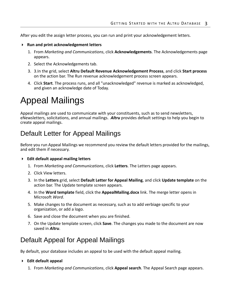After you edit the assign letter process, you can run and print your acknowledgement letters.

- **Run and print acknowledgement letters**
	- 1. From *Marketing and Communications*, click **Acknowledgements**. The Acknowledgements page appears.
	- 2. Select the Acknowledgements tab.
	- 3. 3.In the grid, select **Altru Default Revenue Acknowledgement Process**, and click **Start process** on the action bar. The Run revenue acknowledgement process screen appears.
	- 4. Click **Start**. The process runs, and all "unacknowledged" revenue is marked as acknowledged, and given an acknowledge date of Today.

# <span id="page-4-0"></span>Appeal Mailings

Appeal mailings are used to communicate with your constituents, such as to send newsletters, eNewsletters, solicitations, and annual mailings. *Altru* provides default settings to help you begin to create appeal mailings.

### Default Letter for Appeal Mailings

Before you run Appeal Mailings we recommend you review the default letters provided for the mailings, and edit them if necessary.

#### **Edit default appeal mailing letters**

- 1. From *Marketing and Communications*, click **Letters**. The Letters page appears.
- 2. Click View letters.
- 3. In the **Letters** grid, select **Default Letter for Appeal Mailing**, and click **Update template** on the action bar. The Update template screen appears.
- 4. In the **Word template** field, click the **AppealMailing.docx** link. The merge letter opens in Microsoft *Word*.
- 5. Make changes to the document as necessary, such as to add verbiage specific to your organization, or add a logo.
- 6. Save and close the document when you are finished.
- 7. On the Update template screen, click **Save**. The changes you made to the document are now saved in *Altru*.

### Default Appeal for Appeal Mailings

By default, your database includes an appeal to be used with the default appeal mailing.

#### **Edit default appeal**

1. From *Marketing and Communications*, click **Appeal search**. The Appeal Search page appears.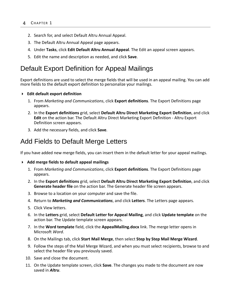- 2. Search for, and select Default Altru Annual Appeal.
- 3. The Default Altru Annual Appeal page appears.
- 4. Under **Tasks**, click **Edit Default Altru Annual Appeal**. The Edit an appeal screen appears.
- 5. Edit the name and description as needed, and click **Save**.

### Default Export Definition for Appeal Mailings

Export definitions are used to select the merge fields that will be used in an appeal mailing. You can add more fields to the default export definition to personalize your mailings.

- **Edit default export definition**
	- 1. From *Marketing and Communications*, click **Export definitions**. The Export Definitions page appears.
	- 2. In the **Export definitions** grid, select **Default Altru Direct Marketing Export Definition**, and click **Edit** on the action bar. The Default Altru Direct Marketing Export Definition ‐ Altru Export Definition screen appears.
	- 3. Add the necessary fields, and click **Save**.

### <span id="page-5-0"></span>Add Fields to Default Merge Letters

If you have added new merge fields, you can insert them in the default letter for your appeal mailings.

#### **Add merge fields to default appeal mailings**

- 1. From *Marketing and Communications*, click **Export definitions**. The Export Definitions page appears.
- 2. In the **Export definitions** grid, select **Default Altru Direct Marketing Export Definition**, and click **Generate header file** on the action bar. The Generate header file screen appears.
- 3. Browse to a location on your computer and save the file.
- 4. Return to *Marketing and Communications*, and click **Letters**. The Letters page appears.
- 5. Click View letters.
- 6. In the **Letters** grid, select **Default Letter for Appeal Mailing**, and click **Update template** on the action bar. The Update template screen appears.
- 7. In the **Word template** field, click the **AppealMailing.docx** link. The merge letter opens in Microsoft *Word*.
- 8. On the Mailings tab, click **Start Mail Merge**, then select **Step by Step Mail Merge Wizard**.
- 9. Follow the steps of the Mail Merge Wizard, and when you must select recipients, browse to and select the header file you previously saved.
- 10. Save and close the document.
- 11. On the Update template screen, click **Save**. The changes you made to the document are now saved in *Altru*.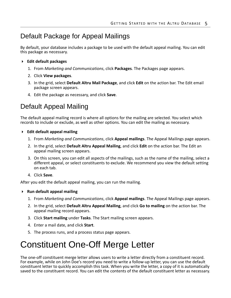### Default Package for Appeal Mailings

By default, your database includes a package to be used with the default appeal mailing. You can edit this package as necessary.

- **Edit default packages**
	- 1. From *Marketing and Communications*, click **Packages**. The Packages page appears.
	- 2. Click **View packages**.
	- 3. In the grid, select **Default Altru Mail Package**, and click **Edit** on the action bar. The Edit email package screen appears.
	- 4. Edit the package as necessary, and click **Save**.

### Default Appeal Mailing

The default appeal mailing record is where all options for the mailing are selected. You select which records to include or exclude, as well as other options. You can edit the mailing as necessary.

- **Edit default appeal mailing**
	- 1. From *Marketing and Communications*, click **Appeal mailings**. The Appeal Mailings page appears.
	- 2. In the grid, select **Default Altru Appeal Mailing**, and click **Edit** on the action bar. The Edit an appeal mailing screen appears.
	- 3. On this screen, you can edit all aspects of the mailings, such as the name of the mailing, select a different appeal, or select constituents to exclude. We recommend you view the default setting on each tab.
	- 4. Click **Save**.

After you edit the default appeal mailing, you can run the mailing.

- **Run default appeal mailing**
	- 1. From *Marketing and Communications*, click **Appeal mailings**. The Appeal Mailings page appears.
	- 2. In the grid, select **Default Altru Appeal Mailing**, and click **Go to mailing** on the action bar. The appeal mailing record appears.
	- 3. Click **Start mailing** under **Tasks**. The Start mailing screen appears.
	- 4. Enter a mail date, and click **Start**.
	- 5. The process runs, and a process status page appears.

# <span id="page-6-0"></span>Constituent One-Off Merge Letter

The one-off constituent merge letter allows users to write a letter directly from a constituent record.<br> For example, while on John Doe's record you need to write a follow-up letter, you can use the default constituent letter to quickly accomplish this task. When you write the letter, a copy of it is automatically saved to the constituent record. You can edit the contents of the default constituent letter as necessary.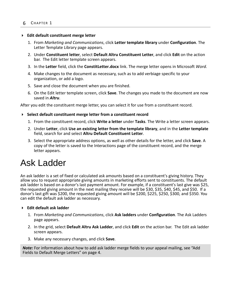#### **Edit default constituent merge letter**

- 1. From *Marketing and Communications*, click **Letter template library** under **Configuration**. The Letter Template Library page appears.
- 2. Under **Constituent letter**, select **Default Altru Constituent Letter**, and click **Edit** on the action bar. The Edit letter template screen appears.
- 3. In the **Letter** field, click the **ConstitLetter.docx** link. The merge letter opens in Microsoft *Word*.
- 4. Make changes to the document as necessary, such as to add verbiage specific to your organization, or add a logo.
- 5. Save and close the document when you are finished.
- 6. On the Edit letter template screen, click **Save**. The changes you made to the document are now saved in *Altru*.

After you edit the constituent merge letter, you can select it for use from a constituent record.

#### **Select default constituent merge letter from a constituent record**

- 1. From the constituent record, click **Write a letter** under **Tasks**. The Write a letter screen appears.
- 2. Under **Letter**, click **Use an existing letter from the template library**, and in the **Letter template** field, search for and select **Altru Default Constituent Letter**.
- 3. Select the appropriate address options, as well as other details for the letter, and click **Save**. A copy of the letter is saved to the Interactions page of the constituent record, and the merge letter appears.

### <span id="page-7-0"></span>Ask Ladder

An ask ladder is a set of fixed or calculated ask amounts based on a constituent's giving history. They allow you to request appropriate giving amounts in marketing efforts sent to constituents. The default ask ladder is based on a donor's last payment amount. For example, if a constituent's last give was \$25, the requested giving amount in the next mailing they receive will be \$30, \$35, \$40, \$45, and \$50. If a donor's last gift was \$200, the requested giving amount will be \$200, \$225, \$250, \$300, and \$350. You can edit the default ask ladder as necessary.

#### **Edit default ask ladder**

- 1. From *Marketing and Communications*, click **Ask ladders** under **Configuration**. The Ask Ladders page appears.
- 2. In the grid, select **Default Altru Ask Ladder**, and click **Edit** on the action bar. The Edit ask ladder screen appears.
- 3. Make any necessary changes, and click **Save**.

*Note:* For information about how to add ask ladder merge fields to your appeal mailing, see ["Add](#page-5-0) Fields to Default Merge [Letters"](#page-5-0) on page 4.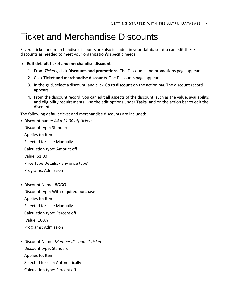### <span id="page-8-0"></span>Ticket and Merchandise Discounts

Several ticket and merchandise discounts are also included in your database. You can edit these discounts as needed to meet your organization's specific needs.

- **Edit default ticket and merchandise discounts**
	- 1. From *Tickets*, click **Discounts and promotions**. The Discounts and promotions page appears.
	- 2. Click **Ticket and merchandise discounts**. The Discounts page appears.
	- 3. In the grid, select a discount, and click **Go to discount** on the action bar. The discount record appears.
	- 4. From the discount record, you can edit all aspects of the discount, such as the value, availability, and eligibility requirements. Use the edit options under **Tasks**, and on the action bar to edit the discount.

The following default ticket and merchandise discounts are included:

• Discount name: *AAA \$1.00 off tickets*

Discount type: Standard Applies to: Item

Selected for use: Manually

Calculation type: Amount off

Value: \$1.00

Price Type Details: <any price type>

Programs: Admission

- Discount Name: *BOGO* Discount type: With required purchase Applies to: Item Selected for use: Manually Calculation type: Percent off Value: 100% Programs: Admission
- Discount Name: *Member discount 1 ticket* Discount type: Standard Applies to: Item
	- Selected for use: Automatically
	- Calculation type: Percent off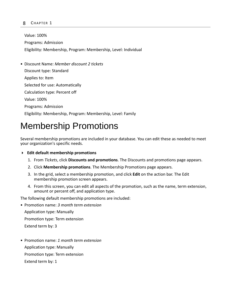#### 8 CHAPTER 1

Value: 100% Programs: Admission Eligibility: Membership, Program: Membership, Level: Individual

• Discount Name: *Member discount 2 tickets* Discount type: Standard Applies to: Item Selected for use: Automatically Calculation type: Percent off Value: 100% Programs: Admission Eligibility: Membership, Program: Membership, Level: Family

### <span id="page-9-0"></span>Membership Promotions

Several membership promotions are included in your database. You can edit these as needed to meet your organization's specific needs.

- **Edit default membership promotions**
	- 1. From *Tickets*, click **Discounts and promotions**. The Discounts and promotions page appears.
	- 2. Click **Membership promotions**. The Membership Promotions page appears.
	- 3. In the grid, select a membership promotion, and click **Edit** on the action bar. The Edit membership promotion screen appears.
	- 4. From this screen, you can edit all aspects of the promotion, such as the name, term extension, amount or percent off, and application type.

The following default membership promotions are included:

- Promotion name: *3 month term extension* Application type: Manually Promotion type: Term extension Extend term by: 3
- Promotion name: *1 month term extension* Application type: Manually Promotion type: Term extension Extend term by: 1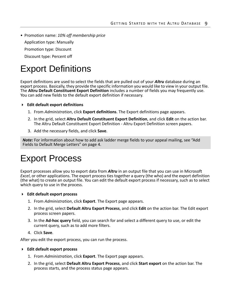• Promotion name: *10% off membership price* Application type: Manually Promotion type: Discount Discount type: Percent off

# <span id="page-10-0"></span>Export Definitions

Export definitions are used to select the fields that are pulled out of your *Altru* database during an export process. Basically, they provide the specific information you would like to view in your output file. The **Altru Default Constituent Export Definition** includes a number of fields you may frequently use. You can add new fields to the default export definition if necessary.

- **Edit default export definitions**
	- 1. From *Administration*, click **Export definitions**. The Export definitions page appears.
	- 2. In the grid, select **Altru Default Constituent Export Definition**, and click **Edit** on the action bar. The Altru Default Constituent Export Definition ‐ Altru Export Definition screen papers.
	- 3. Add the necessary fields, and click **Save**.

*Note:* For information about how to add ask ladder merge fields to your appeal mailing, see ["Add](#page-5-0) Fields to Default Merge [Letters"](#page-5-0) on page 4.

### <span id="page-10-1"></span>Export Process

Export processes allow you to export data from *Altru* in an output file that you can use in Microsoft *Excel*, or other applications. The export process ties together a query (the who) and the export definition (the what) to create an output file. You can edit the default export process if necessary, such as to select which query to use in the process.

- **Edit default export process**
	- 1. From *Administration*, click **Export**. The Export page appears.
	- 2. In the grid, select **Default Altru Export Process**, and click **Edit** on the action bar. The Edit export process screen papers.
	- 3. In the **Ad‐hoc query** field, you can search for and select a different query to use, or edit the current query, such as to add more filters.
	- 4. Click **Save**.

After you edit the export process, you can run the process.

- **Edit default export process**
	- 1. From *Administration*, click **Export**. The Export page appears.
	- 2. In the grid, select **Default Altru Export Process**, and click **Start export** on the action bar. The process starts, and the process status page appears.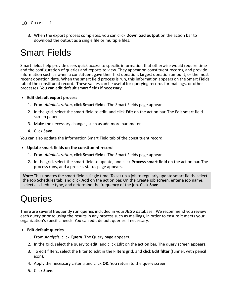3. When the export process completes, you can click **Download output** on the action bar to download the output as a single file or multiple files.

### <span id="page-11-0"></span>Smart Fields

Smart fields help provide users quick access to specific information that otherwise would require time and the configuration of queries and reports to view. They appear on constituent records, and provide information such as when a constituent gave their first donation, largest donation amount, or the most recent donation date. When the smart field process is run, this information appears on the Smart Fields tab of the constituent record. These values can be useful for querying records for mailings, or other processes. You can edit default smart fields if necessary.

#### **Edit default export process**

- 1. From *Administration*, click **Smart fields**. The Smart Fields page appears.
- 2. In the grid, select the smart field to edit, and click **Edit** on the action bar. The Edit smart field screen papers.
- 3. Make the necessary changes, such as add more parameters.
- 4. Click **Save**.

You can also update the information Smart Field tab of the constituent record.

#### **Update smart fields on the constituent record**

- 1. From *Administration*, click **Smart fields**. The Smart Fields page appears.
- 2. In the grid, select the smart field to update, and click **Process smart field** on the action bar. The process runs, and a process status page appears.

*Note:* This updates the smart field a single time. To set up a job to regularly update smart fields, select the Job Schedules tab, and click **Add** on the action bar. On the Create job screen, enter a job name, select a schedule type, and determine the frequency of the job. Click **Save**.

# <span id="page-11-1"></span>Queries

There are several frequently run queries included in your *Altru* database. We recommend you review each query prior to using the results in any process such as mailings, in order to ensure it meets your organization's specific needs. You can edit default queries if necessary.

#### **Edit default queries**

- 1. From *Analysis*, click **Query**. The Query page appears.
- 2. In the grid, select the query to edit, and click **Edit** on the action bar. The query screen appears.
- 3. To edit filters, select the filter to edit in the **Filters** grid, and click **Edit filter** (funnel, with pencil icon).
- 4. Apply the necessary criteria and click **OK**. You return to the query screen.
- 5. Click **Save**.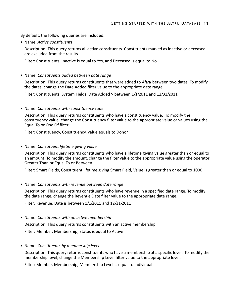By default, the following queries are included:

• Name: *Active constituents*

Description: This query returns all active constituents. Constituents marked as inactive or deceased are excluded from the results.

Filter: Constituents, Inactive is equal to Yes, and Deceased is equal to No

• Name: *Constituents added between date range*

Description: This query returns constituents that were added to *Altru* between two dates. To modify the dates, change the Date Added filter value to the appropriate date range.

Filter: Constituents, System Fields, Date Added > between 1/1/2011 and 12/31/2011

• Name: *Constituents with constituency code*

Description: This query returns constituents who have a constituency value. To modify the constituency value, change the Constituency filter value to the appropriate value or values using the Equal To or One Of filter.

Filter: Constituency, Constituency, value equals to Donor

• Name: *Constituent lifetime giving value*

Description: This query returns constituents who have a lifetime giving value greater than or equal to an amount. To modify the amount, change the filter value to the appropriate value using the operator Greater Than or Equal To or Between.

Filter: Smart Fields, Constituent lifetime giving Smart Field, Value is greater than or equal to 1000

• Name: *Constituents with revenue between date range*

Description: This query returns constituents who have revenue in a specified date range. To modify the date range, change the Revenue Date filter value to the appropriate date range.

Filter: Revenue, Date is between 1/1/2011 and 12/31/2011

• Name: *Constituents with an active membership*

Description: This query returns constituents with an active membership.

Filter: Member, Membership, Status is equal to Active

• Name: *Constituents by membership level*

Description: This query returns constituents who have a membership at a specific level. To modify the membership level, change the Membership Level filter value to the appropriate level.

Filter: Member, Membership, Membership Level is equal to Individual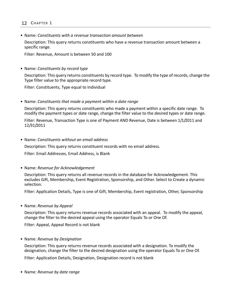#### 12 CHAPTER 1

• Name: *Constituents with a revenue transaction amount between*

Description: This query returns constituents who have a revenue transaction amount between a specific range.

Filter: Revenue, Amount is between 50 and 100

• Name: *Constituents by record type*

Description: This query returns constituents by record type. To modify the type of records, change the Type filter value to the appropriate record type.

Filter: Constituents, Type equal to Individual

• Name: *Constituents that made a payment within a date range*

Description: This query returns constituents who made a payment within a specific date range. To modify the payment types or date range, change the filter value to the desired types or date range.

Filter: Revenue, Transaction Type is one of Payment AND Revenue, Date is between 1/1/2011 and 12/31/2011

• Name: *Constituents without an email address*

Description: This query returns constituent records with no email address.

Filter: Email Addresses, Email Address, is Blank

• Name: *Revenue for Acknowledgement*

Description: This query returns all revenue records in the database for Acknowledgement. This excludes Gift, Membership, Event Registration, Sponsorship, and Other. Select to Create a dynamic selection.

Filter: Application Details, Type is one of Gift, Membership, Event registration, Other, Sponsorship

• Name: *Revenue by Appeal*

Description: This query returns revenue records associated with an appeal. To modify the appeal, change the filter to the desired appeal using the operator Equals To or One Of.

Filter: Appeal, Appeal Record is not blank

• Name: *Revenue by Designation*

Description: This query returns revenue records associated with a designation. To modify the designation, change the filter to the desired designation using the operator Equals To or One Of.

Filter: Application Details, Designation, Designation record is not blank

• Name: *Revenue by date range*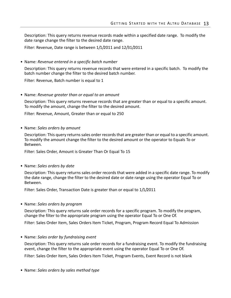Description: This query returns revenue records made within a specified date range. To modify the date range change the filter to the desired date range.

Filter: Revenue, Date range is between 1/1/2011 and 12/31/2011

• Name: *Revenue entered in a specific batch number*

Description: This query returns revenue records that were entered in a specific batch. To modify the batch number change the filter to the desired batch number.

Filter: Revenue, Batch number is equal to 1

• Name: *Revenue greater than or equal to an amount*

Description: This query returns revenue records that are greater than or equal to a specific amount. To modify the amount, change the filter to the desired amount.

Filter: Revenue, Amount, Greater than or equal to 250

• Name: *Sales orders by amount*

Description: This query returns sales order records that are greater than or equal to a specific amount. To modify the amount change the filter to the desired amount or the operator to Equals To or Between.

Filter: Sales Order, Amount is Greater Than Or Equal To 15

• Name: *Sales orders by date*

Description: This query returns sales order records that were added in a specific date range. To modify the date range, change the filter to the desired date or date range using the operator Equal To or Between.

Filter: Sales Order, Transaction Date is greater than or equal to 1/1/2011

• Name: *Sales orders by program*

Description: This query returns sale order records for a specific program. To modify the program, change the filter to the appropriate program using the operator Equal To or One Of.

Filter: Sales Order Item, Sales Orders Item Ticket, Program, Program Record Equal To Admission

• Name: *Sales order by fundraising event*

Description: This query returns sale order records for a fundraising event. To modify the fundraising event, change the filter to the appropriate event using the operator Equal To or One Of.

Filter: Sales Order Item, Sales Orders Item Ticket, Program Events, Event Record is not blank

• Name: *Sales orders by sales method type*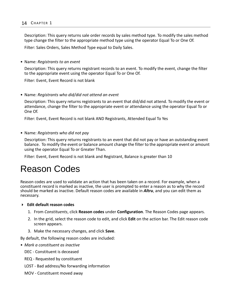#### 14 CHAPTER 1

Description: This query returns sale order records by sales method type. To modify the sales method type change the filter to the appropriate method type using the operator Equal To or One Of.

Filter: Sales Orders, Sales Method Type equal to Daily Sales.

• Name: *Registrants to an event*

Description: This query returns registrant records to an event. To modify the event, change the filter to the appropriate event using the operator Equal To or One Of.

Filter: Event, Event Record is not blank

• Name: *Registrants who did/did not attend an event*

Description: This query returns registrants to an event that did/did not attend. To modify the event or attendance, change the filter to the appropriate event or attendance using the operator Equal To or One Of.

Filter: Event, Event Record is not blank AND Registrants, Attended Equal To Yes

• Name: *Registrants who did not pay*

Description: This query returns registrants to an event that did not pay or have an outstanding event balance. To modify the event or balance amount change the filter to the appropriate event or amount using the operator Equal To or Greater Than.

Filter: Event, Event Record is not blank and Registrant, Balance is greater than 10

### <span id="page-15-0"></span>Reason Codes

Reason codes are used to validate an action that has been taken on a record. For example, when a constituent record is marked as inactive, the user is prompted to enter a reason as to why the record should be marked as inactive. Default reason codes are available in *Altru*, and you can edit them as necessary.

#### **Edit default reason codes**

- 1. From *Constituents*, click **Reason codes** under **Configuration**. The Reason Codes page appears.
- 2. In the grid, select the reason code to edit, and click **Edit** on the action bar. The Edit reason code screen appears.
- 3. Make the necessary changes, and click **Save**.

By default, the following reason codes are included:

• *Mark a constituent as inactive*

DEC ‐ Constituent is deceased

- REQ ‐ Requested by constituent
- LOST ‐ Bad address/No forwarding information
- MOV ‐ Constituent moved away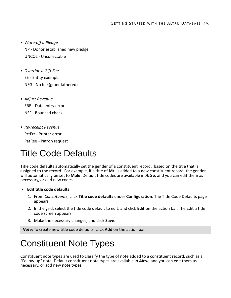- *Write‐off a Pledge* NP ‐ Donor established new pledge UNCOL ‐ Uncollectable
- *Override a Gift Fee* EE ‐ Entity exempt NFG ‐ No fee (grandfathered)
- *Adjust Revenue* ERR ‐ Data entry error NSF ‐ Bounced check
- *Re‐receipt Revenue* PrtErr ‐ Printer error PatReq ‐ Patron request

### <span id="page-16-0"></span>Title Code Defaults

Title code defaults automatically set the gender of a constituent record, based on the title that is assigned to the record. For example, if a title of **Mr.** is added to a new constituent record, the gender will automatically be set to **Male**. Default title codes are available in *Altru*, and you can edit them as necessary, or add new codes.

- **Edit title code defaults**
	- 1. From *Constituents*, click **Title code defaults** under **Configuration**. The Title Code Defaults page appears.
	- 2. In the grid, select the title code default to edit, and click **Edit** on the action bar. The Edit a title code screen appears.
	- 3. Make the necessary changes, and click **Save**.

*Note:* To create new title code defaults, click **Add** on the action bar.

# <span id="page-16-1"></span>Constituent Note Types

Constituent note types are used to classify the type of note added to a constituent record, such as a "Follow‐up" note. Default constituent note types are available in *Altru*, and you can edit them as necessary, or add new note types.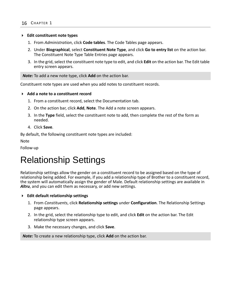#### **Edit constituent note types**

- 1. From *Administration*, click **Code tables**. The Code Tables page appears.
- 2. Under **Biographical**, select **Constituent Note Type**, and click **Go to entry list** on the action bar. The Constituent Note Type Table Entries page appears.
- 3. In the grid, select the constituent note type to edit, and click **Edit** on the action bar. The Edit table entry screen appears.

*Note:* To add a new note type, click **Add** on the action bar.

Constituent note types are used when you add notes to constituent records.

#### **Add a note to a constituent record**

- 1. From a constituent record, select the Documentation tab.
- 2. On the action bar, click **Add**, **Note**. The Add a note screen appears.
- 3. In the **Type** field, select the constituent note to add, then complete the rest of the form as needed.
- 4. Click **Save**.

By default, the following constituent note types are included:

Note

Follow‐up

### <span id="page-17-0"></span>Relationship Settings

Relationship settings allow the gender on a constituent record to be assigned based on the type of relationship being added. For example, if you add a relationship type of Brother to a constituent record, the system will automatically assign the gender of Male. Default relationship settings are available in *Altru*, and you can edit them as necessary, or add new settings.

- **Edit default relationship settings**
	- 1. From *Constituents*, click **Relationship settings** under **Configuration**. The Relationship Settings page appears.
	- 2. In the grid, select the relationship type to edit, and click **Edit** on the action bar. The Edit relationship type screen appears.
	- 3. Make the necessary changes, and click **Save**.

*Note:* To create a new relationship type, click **Add** on the action bar.